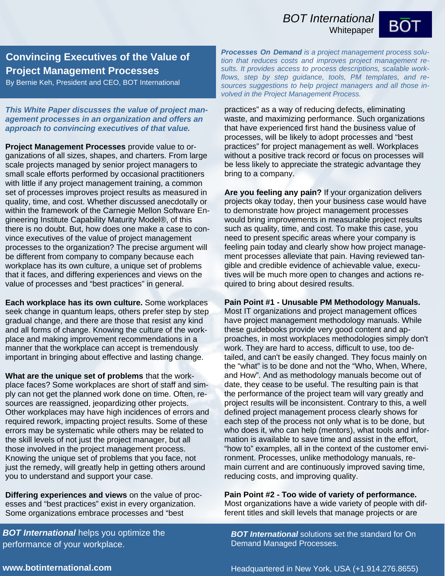## *BOT International*

**Whitepaper** 



## **Convincing Executives of the Value of Project Management Processes**

By Bernie Keh, President and CEO, BOT International

*This White Paper discusses the value of project management processes in an organization and offers an approach to convincing executives of that value.* 

**Project Management Processes** provide value to organizations of all sizes, shapes, and charters. From large scale projects managed by senior project managers to small scale efforts performed by occasional practitioners with little if any project management training, a common set of processes improves project results as measured in quality, time, and cost. Whether discussed anecdotally or within the framework of the Carnegie Mellon Software Engineering Institute Capability Maturity Model®, of this there is no doubt. But, how does one make a case to convince executives of the value of project management processes to the organization? The precise argument will be different from company to company because each workplace has its own culture, a unique set of problems that it faces, and differing experiences and views on the value of processes and "best practices" in general.

**Each workplace has its own culture.** Some workplaces seek change in quantum leaps, others prefer step by step gradual change, and there are those that resist any kind and all forms of change. Knowing the culture of the workplace and making improvement recommendations in a manner that the workplace can accept is tremendously important in bringing about effective and lasting change.

**What are the unique set of problems** that the workplace faces? Some workplaces are short of staff and simply can not get the planned work done on time. Often, resources are reassigned, jeopardizing other projects. Other workplaces may have high incidences of errors and required rework, impacting project results. Some of these errors may be systematic while others may be related to the skill levels of not just the project manager, but all those involved in the project management process. Knowing the unique set of problems that you face, not just the remedy, will greatly help in getting others around you to understand and support your case.

**Differing experiences and views** on the value of processes and "best practices" exist in every organization. Some organizations embrace processes and "best

*BOT International* helps you optimize the performance of your workplace.

*Processes On Demand is a project management process solution that reduces costs and improves project management results. It provides access to process descriptions, scalable workflows, step by step guidance, tools, PM templates, and resources suggestions to help project managers and all those involved in the Project Management Process.* 

practices" as a way of reducing defects, eliminating waste, and maximizing performance. Such organizations that have experienced first hand the business value of processes, will be likely to adopt processes and "best practices" for project management as well. Workplaces without a positive track record or focus on processes will be less likely to appreciate the strategic advantage they bring to a company.

**Are you feeling any pain?** If your organization delivers projects okay today, then your business case would have to demonstrate how project management processes would bring improvements in measurable project results such as quality, time, and cost. To make this case, you need to present specific areas where your company is feeling pain today and clearly show how project management processes alleviate that pain. Having reviewed tangible and credible evidence of achievable value, executives will be much more open to changes and actions required to bring about desired results.

## **Pain Point #1 - Unusable PM Methodology Manuals.**

Most IT organizations and project management offices have project management methodology manuals. While these guidebooks provide very good content and approaches, in most workplaces methodologies simply don't work. They are hard to access, difficult to use, too detailed, and can't be easily changed. They focus mainly on the "what" is to be done and not the "Who, When, Where, and How". And as methodology manuals become out of date, they cease to be useful. The resulting pain is that the performance of the project team will vary greatly and project results will be inconsistent. Contrary to this, a well defined project management process clearly shows for each step of the process not only what is to be done, but who does it, who can help (mentors), what tools and information is available to save time and assist in the effort, "how to" examples, all in the context of the customer environment. Processes, unlike methodology manuals, remain current and are continuously improved saving time, reducing costs, and improving quality.

**Pain Point #2 - Too wide of variety of performance.**  Most organizations have a wide variety of people with different titles and skill levels that manage projects or are

*BOT International* solutions set the standard for On Demand Managed Processes.

**www.botinternational.com**

Headquartered in New York, USA (+1.914.276.8655)